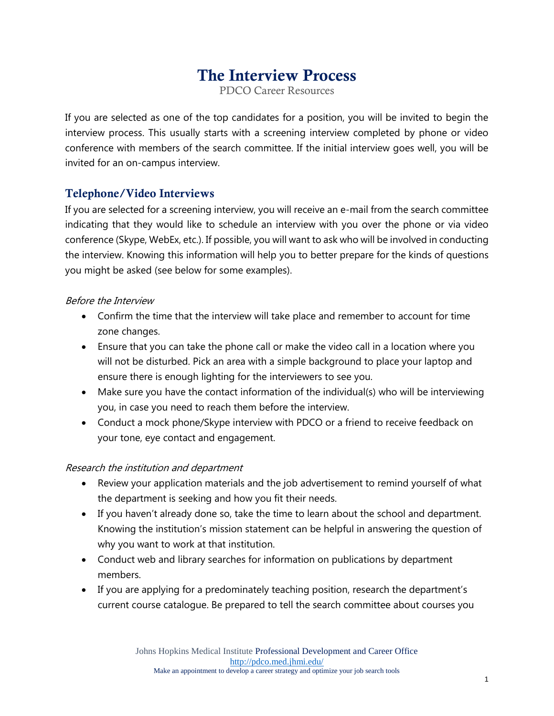# The Interview Process

PDCO Career Resources

If you are selected as one of the top candidates for a position, you will be invited to begin the interview process. This usually starts with a screening interview completed by phone or video conference with members of the search committee. If the initial interview goes well, you will be invited for an on-campus interview.

# Telephone/Video Interviews

If you are selected for a screening interview, you will receive an e-mail from the search committee indicating that they would like to schedule an interview with you over the phone or via video conference (Skype, WebEx, etc.). If possible, you will want to ask who will be involved in conducting the interview. Knowing this information will help you to better prepare for the kinds of questions you might be asked (see below for some examples).

# Before the Interview

- Confirm the time that the interview will take place and remember to account for time zone changes.
- Ensure that you can take the phone call or make the video call in a location where you will not be disturbed. Pick an area with a simple background to place your laptop and ensure there is enough lighting for the interviewers to see you.
- Make sure you have the contact information of the individual(s) who will be interviewing you, in case you need to reach them before the interview.
- Conduct a mock phone/Skype interview with PDCO or a friend to receive feedback on your tone, eye contact and engagement.

# Research the institution and department

- Review your application materials and the job advertisement to remind yourself of what the department is seeking and how you fit their needs.
- If you haven't already done so, take the time to learn about the school and department. Knowing the institution's mission statement can be helpful in answering the question of why you want to work at that institution.
- Conduct web and library searches for information on publications by department members.
- If you are applying for a predominately teaching position, research the department's current course catalogue. Be prepared to tell the search committee about courses you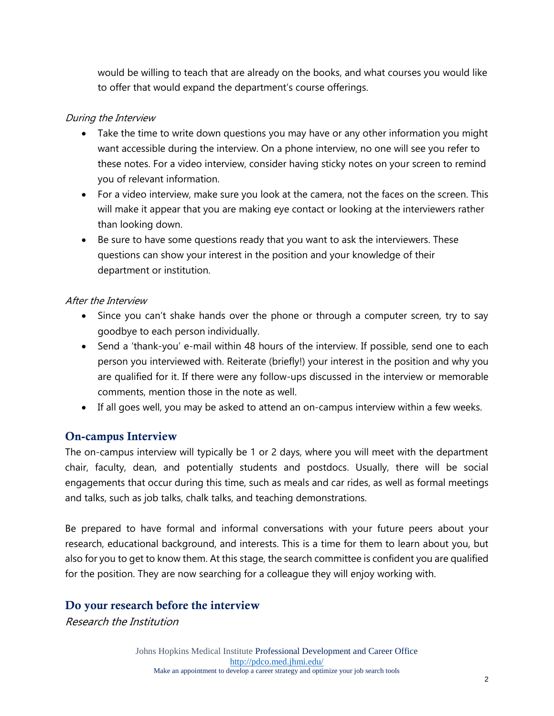would be willing to teach that are already on the books, and what courses you would like to offer that would expand the department's course offerings.

### During the Interview

- Take the time to write down questions you may have or any other information you might want accessible during the interview. On a phone interview, no one will see you refer to these notes. For a video interview, consider having sticky notes on your screen to remind you of relevant information.
- For a video interview, make sure you look at the camera, not the faces on the screen. This will make it appear that you are making eye contact or looking at the interviewers rather than looking down.
- Be sure to have some questions ready that you want to ask the interviewers. These questions can show your interest in the position and your knowledge of their department or institution.

#### After the Interview

- Since you can't shake hands over the phone or through a computer screen, try to say goodbye to each person individually.
- Send a 'thank-you' e-mail within 48 hours of the interview. If possible, send one to each person you interviewed with. Reiterate (briefly!) your interest in the position and why you are qualified for it. If there were any follow-ups discussed in the interview or memorable comments, mention those in the note as well.
- If all goes well, you may be asked to attend an on-campus interview within a few weeks.

# On-campus Interview

The on-campus interview will typically be 1 or 2 days, where you will meet with the department chair, faculty, dean, and potentially students and postdocs. Usually, there will be social engagements that occur during this time, such as meals and car rides, as well as formal meetings and talks, such as job talks, chalk talks, and teaching demonstrations.

Be prepared to have formal and informal conversations with your future peers about your research, educational background, and interests. This is a time for them to learn about you, but also for you to get to know them. At this stage, the search committee is confident you are qualified for the position. They are now searching for a colleague they will enjoy working with.

# Do your research before the interview

Research the Institution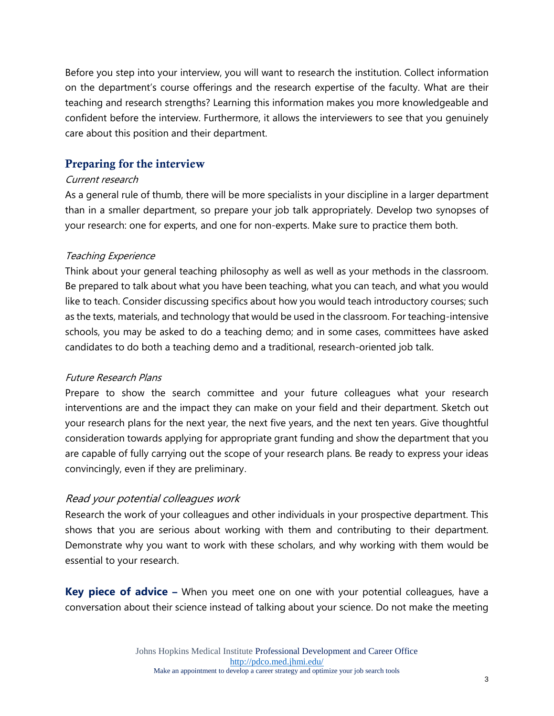Before you step into your interview, you will want to research the institution. Collect information on the department's course offerings and the research expertise of the faculty. What are their teaching and research strengths? Learning this information makes you more knowledgeable and confident before the interview. Furthermore, it allows the interviewers to see that you genuinely care about this position and their department.

# Preparing for the interview

#### Current research

As a general rule of thumb, there will be more specialists in your discipline in a larger department than in a smaller department, so prepare your job talk [a](https://docs.google.com/document/d/1YoVBw-qCW3pRPeHovDj3nmK23Qw229AY6Pg9S89kSTc/edit)ppropriately. Develop two synopses of your research: one for experts, and one for non-experts. Make sure to practice them both.

#### Teaching Experience

Think about your general teaching philosophy as well as well as your methods in the classroom. Be prepared to talk about what you have been teaching, what you can teach, and what you would like to teach. Consider discussing specifics about how you would teach introductory courses; such as the texts, materials, and technology that would be used in the classroom. For teaching-intensive schools, you may be asked to do a teaching demo; and in some cases, committees have asked candidates to do both a teaching demo and a traditional, research-oriented job talk.

#### Future Research Plans

Prepare to show the search committee and your future colleagues what your research interventions are and the impact they can make on your field and their department. Sketch out your research plans for the next year, the next five years, and the next ten years. Give thoughtful consideration towards applying for appropriate grant funding and show the department that you are capable of fully carrying out the scope of your research plans. Be ready to express your ideas convincingly, even if they are preliminary.

# Read your potential colleagues work

Research the work of your colleagues and other individuals in your prospective department. This shows that you are serious about working with them and contributing to their department. Demonstrate why you want to work with these scholars, and why working with them would be essential to your research.

**Key piece of advice –** When you meet one on one with your potential colleagues, have a conversation about their science instead of talking about your science. Do not make the meeting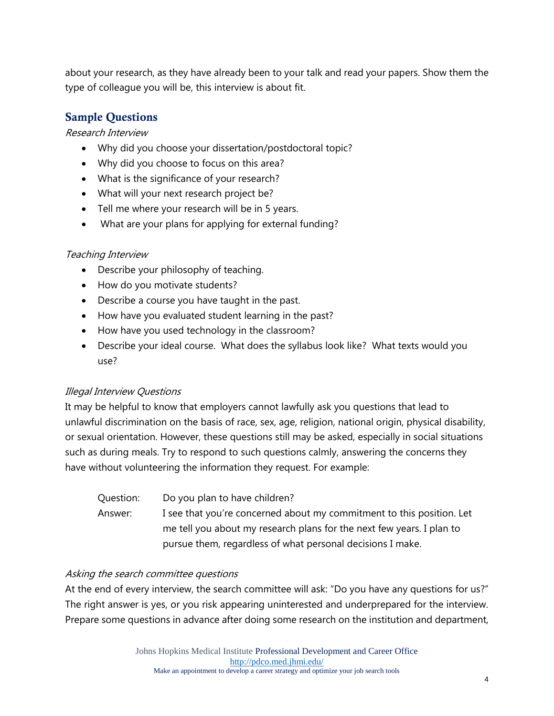about your research, as they have already been to your talk and read your papers. Show them the type of colleague you will be, this interview is about fit.

# Sample Questions

Research Interview

- Why did you choose your dissertation/postdoctoral topic?
- Why did you choose to focus on this area?
- What is the significance of your research?
- What will your next research project be?
- Tell me where your research will be in 5 years.
- What are your plans for applying for external funding?

# Teaching Interview

- Describe your philosophy of teaching.
- How do you motivate students?
- Describe a course you have taught in the past.
- How have you evaluated student learning in the past?
- How have you used technology in the classroom?
- Describe your ideal course. What does the syllabus look like? What texts would you use?

# Illegal Interview Questions

It may be helpful to know that employers cannot lawfully ask you questions that lead to unlawful discrimination on the basis of race, sex, age, religion, national origin, physical disability, or sexual orientation. However, these questions still may be asked, especially in social situations such as during meals. Try to respond to such questions calmly, answering the concerns they have without volunteering the information they request. For example:

Question: Do you plan to have children? Answer: I see that you're concerned about my commitment to this position. Let me tell you about my research plans for the next few years. I plan to pursue them, regardless of what personal decisions I make.

# Asking the search committee questions

At the end of every interview, the search committee will ask: "Do you have any questions for us?" The right answer is yes, or you risk appearing uninterested and underprepared for the interview. Prepare some questions in advance after doing some research on the institution and department,